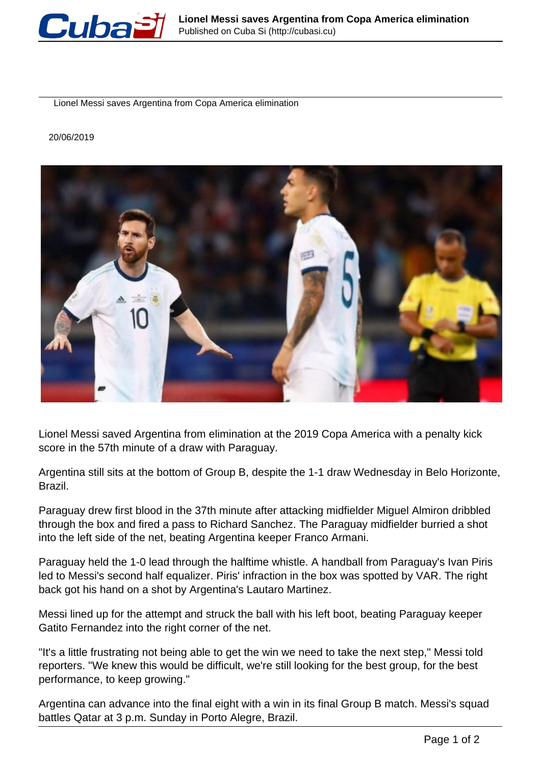

Lionel Messi saves Argentina from Copa America elimination

20/06/2019



Lionel Messi saved Argentina from elimination at the 2019 Copa America with a penalty kick score in the 57th minute of a draw with Paraguay.

Argentina still sits at the bottom of Group B, despite the 1-1 draw Wednesday in Belo Horizonte, Brazil.

Paraguay drew first blood in the 37th minute after attacking midfielder Miguel Almiron dribbled through the box and fired a pass to Richard Sanchez. The Paraguay midfielder burried a shot into the left side of the net, beating Argentina keeper Franco Armani.

Paraguay held the 1-0 lead through the halftime whistle. A handball from Paraguay's Ivan Piris led to Messi's second half equalizer. Piris' infraction in the box was spotted by VAR. The right back got his hand on a shot by Argentina's Lautaro Martinez.

Messi lined up for the attempt and struck the ball with his left boot, beating Paraguay keeper Gatito Fernandez into the right corner of the net.

"It's a little frustrating not being able to get the win we need to take the next step," Messi told reporters. "We knew this would be difficult, we're still looking for the best group, for the best performance, to keep growing."

Argentina can advance into the final eight with a win in its final Group B match. Messi's squad battles Qatar at 3 p.m. Sunday in Porto Alegre, Brazil.